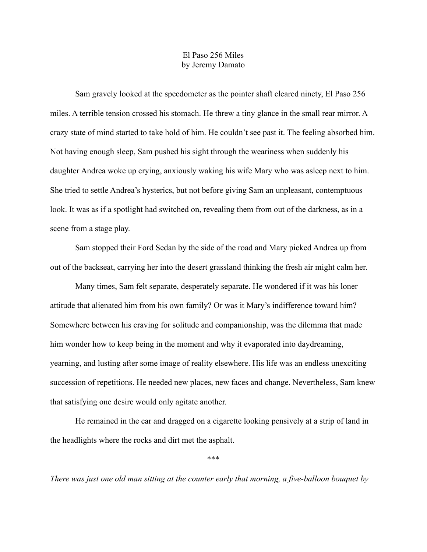## El Paso 256 Miles by Jeremy Damato

Sam gravely looked at the speedometer as the pointer shaft cleared ninety, El Paso 256 miles. A terrible tension crossed his stomach. He threw a tiny glance in the small rear mirror. A crazy state of mind started to take hold of him. He couldn't see past it. The feeling absorbed him. Not having enough sleep, Sam pushed his sight through the weariness when suddenly his daughter Andrea woke up crying, anxiously waking his wife Mary who was asleep next to him. She tried to settle Andrea's hysterics, but not before giving Sam an unpleasant, contemptuous look. It was as if a spotlight had switched on, revealing them from out of the darkness, as in a scene from a stage play.

Sam stopped their Ford Sedan by the side of the road and Mary picked Andrea up from out of the backseat, carrying her into the desert grassland thinking the fresh air might calm her.

Many times, Sam felt separate, desperately separate. He wondered if it was his loner attitude that alienated him from his own family? Or was it Mary's indifference toward him? Somewhere between his craving for solitude and companionship, was the dilemma that made him wonder how to keep being in the moment and why it evaporated into daydreaming, yearning, and lusting after some image of reality elsewhere. His life was an endless unexciting succession of repetitions. He needed new places, new faces and change. Nevertheless, Sam knew that satisfying one desire would only agitate another.

He remained in the car and dragged on a cigarette looking pensively at a strip of land in the headlights where the rocks and dirt met the asphalt.

\*\*\*

*There was just one old man sitting at the counter early that morning, a five-balloon bouquet by*